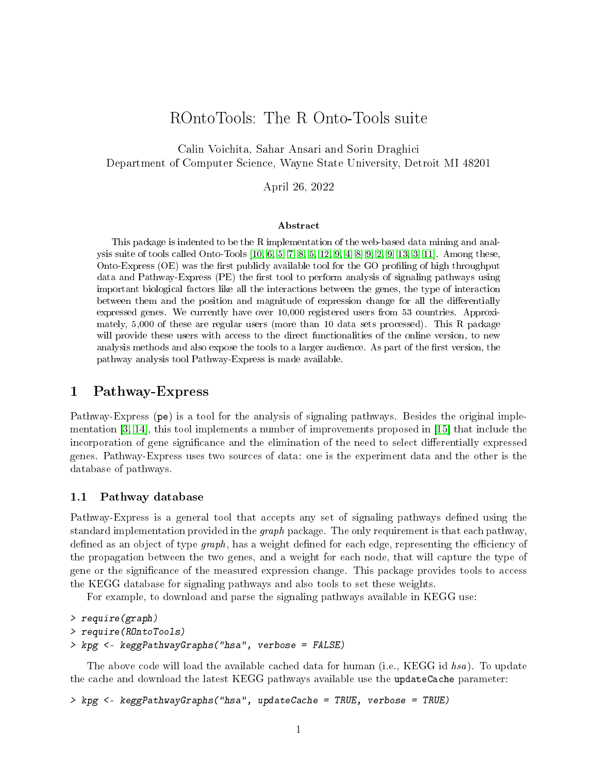# ROntoTools: The R Onto-Tools suite

Calin Voichita, Sahar Ansari and Sorin Draghici Department of Computer Science, Wayne State University, Detroit MI 48201

April 26, 2022

#### Abstract

This package is indented to be the R implementation of the web-based data mining and analysis suite of tools called Onto-Tools [\[10,](#page-13-0) [6,](#page-12-0) [5,](#page-12-1) [7,](#page-12-2) [8,](#page-13-1) [5,](#page-12-1) [12,](#page-13-2) [9,](#page-13-3) [4,](#page-12-3) [8,](#page-13-1) [9,](#page-13-3) [2,](#page-12-4) [9,](#page-13-3) [13,](#page-13-4) [3,](#page-12-5) [11\]](#page-13-5). Among these, Onto-Express  $(OE)$  was the first publicly available tool for the GO profiling of high throughput data and Pathway-Express (PE) the first tool to perform analysis of signaling pathways using important biological factors like all the interactions between the genes, the type of interaction between them and the position and magnitude of expression change for all the differentially expressed genes. We currently have over 10,000 registered users from 53 countries. Approximately, 5,000 of these are regular users (more than 10 data sets processed). This R package will provide these users with access to the direct functionalities of the online version, to new analysis methods and also expose the tools to a larger audience. As part of the first version, the pathway analysis tool Pathway-Express is made available.

## 1 Pathway-Express

Pathway-Express (pe) is a tool for the analysis of signaling pathways. Besides the original implementation [\[3,](#page-12-5) [14\]](#page-13-6), this tool implements a number of improvements proposed in [\[15\]](#page-13-7) that include the incorporation of gene significance and the elimination of the need to select differentially expressed genes. Pathway-Express uses two sources of data: one is the experiment data and the other is the database of pathways.

#### 1.1 Pathway database

Pathway-Express is a general tool that accepts any set of signaling pathways defined using the standard implementation provided in the *graph* package. The only requirement is that each pathway, defined as an object of type  $graph$ , has a weight defined for each edge, representing the efficiency of the propagation between the two genes, and a weight for each node, that will capture the type of gene or the significance of the measured expression change. This package provides tools to access the KEGG database for signaling pathways and also tools to set these weights.

For example, to download and parse the signaling pathways available in KEGG use:

```
> require(graph)
> require(ROntoTools)
> kpg <- keggPathwayGraphs("hsa", verbose = FALSE)
```
The above code will load the available cached data for human (i.e., KEGG id hsa). To update the cache and download the latest KEGG pathways available use the updateCache parameter:

> kpg <- keggPathwayGraphs("hsa", updateCache = TRUE, verbose = TRUE)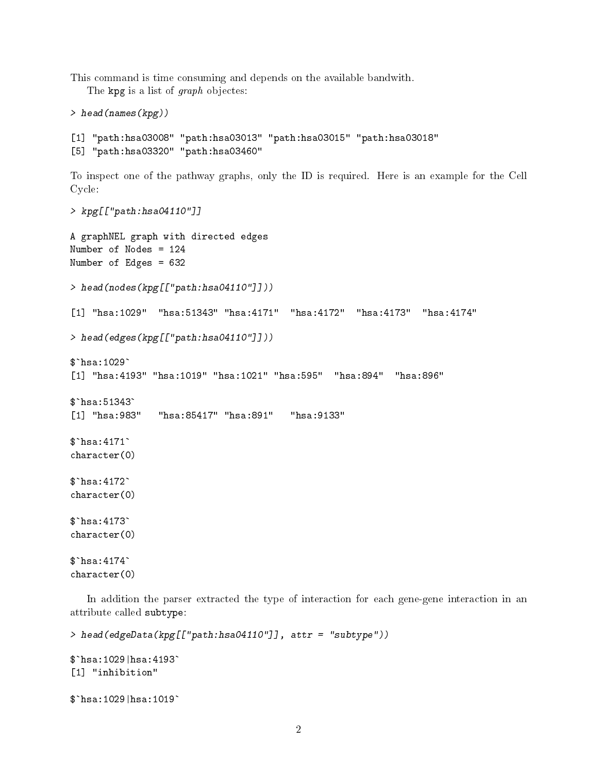This command is time consuming and depends on the available bandwith.

The kpg is a list of graph objectes:

```
> head(names(kpg))
```
[1] "path:hsa03008" "path:hsa03013" "path:hsa03015" "path:hsa03018" [5] "path:hsa03320" "path:hsa03460"

To inspect one of the pathway graphs, only the ID is required. Here is an example for the Cell Cycle:

```
> kpg[["path:hsa04110"]]
A graphNEL graph with directed edges
Number of Nodes = 124
Number of Edges = 632
> head(nodes(kpg[["path:hsa04110"]]))
[1] "hsa:1029" "hsa:51343" "hsa:4171" "hsa:4172" "hsa:4173" "hsa:4174"
> head(edges(kpg[["path:hsa04110"]]))
> head(edge<br>$`hsa:1029`
[1] "hsa:4193" "hsa:1019" "hsa:1021" "hsa:595" "hsa:894" "hsa:896"
$`hsa:1029`<br>[1] "hsa:419<br>$`hsa:51343`
[1] "hsa:983" "hsa:85417" "hsa:891" "hsa:9133"
$`hsa:51343<br>[1] "hsa:98<br>$`hsa:4171`
character(0)
\`hsa:4171`<br>character(0<br>\`hsa:4172`
character(0)
\`hsa:4172`<br>character(0<br>\`hsa:4173`
character(0)
\`hsa:4173`<br>character(0<br>\`hsa:4174`
character(0)
```
In addition the parser extracted the type of interaction for each gene-gene interaction in an attribute called subtype:

```
> head(edgeData(kpg[["path:hsa04110"]], attr = "subtype"))
د .<br>head(edgeData(kpg[<br>$`hsa:1029|hsa:4193`
[1] "inhibition"
\`hsa:1029|hsa:4193`<br>[1] "inhibition"<br>\`hsa:1029|hsa:1019`
```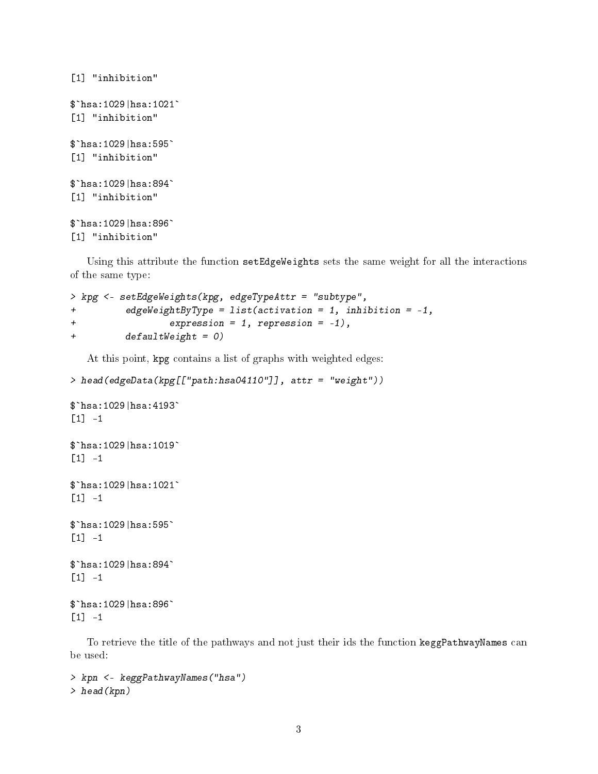```
[1] "inhibition"
$`hsa:1029|hsa:1021`
[1] "inhibition"
$`hsa:1029|hsa:595`
[1] "inhibition"
$`hsa:1029|hsa:894`
[1] "inhibition"
$`hsa:1029|hsa:896`
[1] "inhibition"
```
Using this attribute the function setEdgeWeights sets the same weight for all the interactions of the same type:

```
> kpg <- setEdgeWeights(kpg, edgeTypeAttr = "subtype",
+ edgeWeightByType = list(activation = 1, inhibition = -1,
+ expression = 1, repression = -1),
+ defaultWeight = 0)
```
At this point, kpg contains a list of graphs with weighted edges:

> head(edgeData(kpg[["path:hsa04110"]], attr = "weight"))

```
ى:<br>> head(edgeData(kpg[<br>* hsa:1029|hsa:4193`
[1] -1
$`hsa:1029|hsa:4193`<br>[1] -1<br>$`hsa:1029|hsa:1019`
[1] -1$`hsa:1029|hsa:1021`
[1] -1
```

```
$`hsa:1029|hsa:595`
[1] -1
```

```
$`hsa:1029|hsa:894`
[1] -1
```

```
$`hsa:1029|hsa:896`
[1] -1
```
To retrieve the title of the pathways and not just their ids the function keggPathwayNames can be used:

```
> kpn <- keggPathwayNames("hsa")
> head(kpn)
```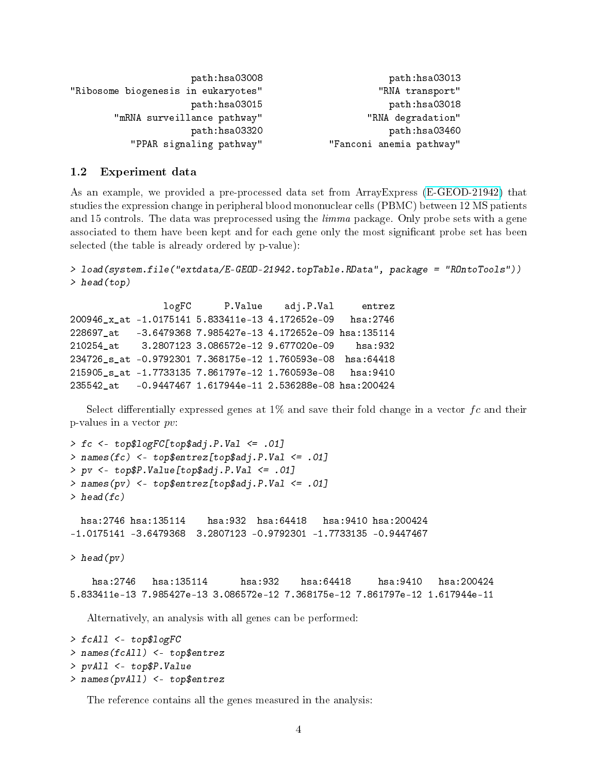```
path:hsa03008 path:hsa03013
"Ribosome biogenesis in eukaryotes" <a>
"RNA transport"</a>
               path:hsa03015 path:hsa03018
     "mRNA surveillance pathway" "RNA degradation"
               path:hsa03320 path:hsa03460
       "PPAR signaling pathway" "Fanconi anemia pathway"
```
### 1.2 Experiment data

As an example, we provided a pre-processed data set from ArrayExpress [\(E-GEOD-21942\)](http://www.ebi.ac.uk/arrayexpress/experiments/E-GEOD-21942/) that studies the expression change in peripheral blood mononuclear cells (PBMC) between 12 MS patients and 15 controls. The data was preprocessed using the *limma* package. Only probe sets with a gene associated to them have been kept and for each gene only the most signicant probe set has been selected (the table is already ordered by p-value):

```
> load(system.file("extdata/E-GEOD-21942.topTable.RData", package = "ROntoTools"))
> head(top)
```

```
logFC P.Value adj.P.Val entrez
200946_x_at -1.0175141 5.833411e-13 4.172652e-09 hsa:2746
228697_at -3.6479368 7.985427e-13 4.172652e-09 hsa:135114
210254_at 3.2807123 3.086572e-12 9.677020e-09 hsa:932
234726_s_at -0.9792301 7.368175e-12 1.760593e-08 hsa:64418
215905_s_at -1.7733135 7.861797e-12 1.760593e-08 hsa:9410
235542_at -0.9447467 1.617944e-11 2.536288e-08 hsa:200424
```
Select differentially expressed genes at 1% and save their fold change in a vector  $fc$  and their p-values in a vector pv:

```
> fc <- top$logFC[top$adj.P.Val <= .01]
> names(fc) <- top$entrez[top$adj.P.Val <= .01]
> pv <- top$P.Value[top$adj.P.Val <= .01]
> names(pv) <- top$entrez[top$adj.P.Val <= .01]
> head(fc)
 hsa:2746 hsa:135114 hsa:932 hsa:64418 hsa:9410 hsa:200424
-1.0175141 -3.6479368 3.2807123 -0.9792301 -1.7733135 -0.9447467
> head(pv)
   hsa:2746 hsa:135114 hsa:932 hsa:64418 hsa:9410 hsa:200424
5.833411e-13 7.985427e-13 3.086572e-12 7.368175e-12 7.861797e-12 1.617944e-11
  Alternatively, an analysis with all genes can be performed:
```

```
> fcAll <- top$logFC
> names(fcAll) <- top$entrez
> pvAll <- top$P.Value
> names(pvAll) <- top$entrez
```
The reference contains all the genes measured in the analysis: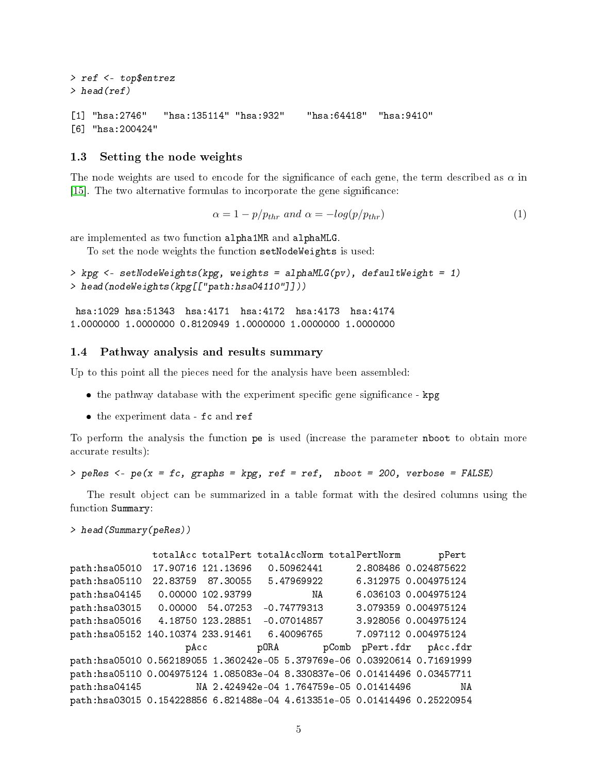```
> ref <- top$entrez
> head(ref)
[1] "hsa:2746" "hsa:135114" "hsa:932" "hsa:64418" "hsa:9410"
[6] "hsa:200424"
```
### 1.3 Setting the node weights

The node weights are used to encode for the significance of each gene, the term described as  $\alpha$  in [\[15\]](#page-13-7). The two alternative formulas to incorporate the gene signicance:

$$
\alpha = 1 - p/p_{thr} \ and \ \alpha = -log(p/p_{thr}) \tag{1}
$$

are implemented as two function alpha1MR and alphaMLG.

To set the node weights the function setNodeWeights is used:

```
> kpg <- setNodeWeights(kpg, weights = alphaMLG(pv), defaultWeight = 1)
> head(nodeWeights(kpg[["path:hsa04110"]]))
```
hsa:1029 hsa:51343 hsa:4171 hsa:4172 hsa:4173 hsa:4174 1.0000000 1.0000000 0.8120949 1.0000000 1.0000000 1.0000000

#### 1.4 Pathway analysis and results summary

Up to this point all the pieces need for the analysis have been assembled:

- the pathway database with the experiment specific gene significance kpg
- the experiment data fc and ref

To perform the analysis the function pe is used (increase the parameter nboot to obtain more accurate results):

```
> peRes <- pe(x = fc, graphs = kpg, ref = ref, nboot = 200, verbose = FALSE)
```
The result object can be summarized in a table format with the desired columns using the function Summary:

```
> head(Summary(peRes))
```

```
totalAcc totalPert totalAccNorm totalPertNorm pPert
path:hsa05010 17.90716 121.13696 0.50962441 2.808486 0.024875622
path:hsa05110 22.83759 87.30055 5.47969922 6.312975 0.004975124
path:hsa04145 0.00000 102.93799 NA 6.036103 0.004975124
path:hsa03015 0.00000 54.07253 -0.74779313 3.079359 0.004975124
path:hsa05016 4.18750 123.28851 -0.07014857 3.928056 0.004975124
path:hsa05152 140.10374 233.91461 6.40096765 7.097112 0.004975124
                  pAcc pORA pComb pPert.fdr pAcc.fdr
path:hsa05010 0.562189055 1.360242e-05 5.379769e-06 0.03920614 0.71691999
path:hsa05110 0.004975124 1.085083e-04 8.330837e-06 0.01414496 0.03457711
path:hsa04145 NA 2.424942e-04 1.764759e-05 0.01414496 NA
path:hsa03015 0.154228856 6.821488e-04 4.613351e-05 0.01414496 0.25220954
```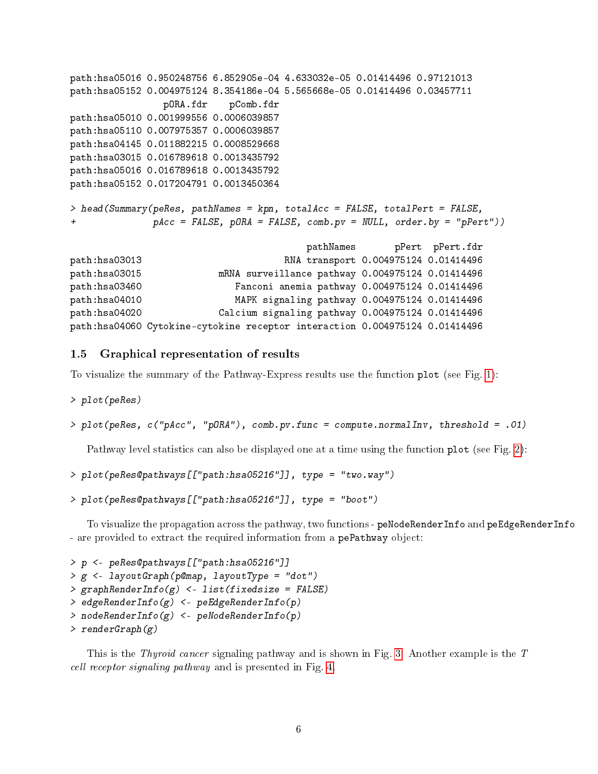```
path:hsa05016 0.950248756 6.852905e-04 4.633032e-05 0.01414496 0.97121013
path:hsa05152 0.004975124 8.354186e-04 5.565668e-05 0.01414496 0.03457711
               pORA.fdr pComb.fdr
path:hsa05010 0.001999556 0.0006039857
path:hsa05110 0.007975357 0.0006039857
path:hsa04145 0.011882215 0.0008529668
path:hsa03015 0.016789618 0.0013435792
path:hsa05016 0.016789618 0.0013435792
path:hsa05152 0.017204791 0.0013450364
> head(Summary(peRes, pathNames = kpn, totalAcc = FALSE, totalPert = FALSE,
+ pAcc = FALSE, pORA = FALSE, comb.pv = NULL, order.by = "pPert"))
                                       pathNames pPert pPert.fdr
path:hsa03013 RNA transport 0.004975124 0.01414496
path:hsa03015 mRNA surveillance pathway 0.004975124 0.01414496
path:hsa03460 Fanconi anemia pathway 0.004975124 0.01414496
path:hsa04010 MAPK signaling pathway 0.004975124 0.01414496
path:hsa04020 Calcium signaling pathway 0.004975124 0.01414496
path:hsa04060 Cytokine-cytokine receptor interaction 0.004975124 0.01414496
```
### 1.5 Graphical representation of results

To visualize the summary of the Pathway-Express results use the function plot (see Fig. [1\)](#page-6-0):

> plot(peRes)

> plot(peRes, c("pAcc", "pORA"), comb.pv.func = compute.normalInv, threshold = .01)

Pathway level statistics can also be displayed one at a time using the function plot (see Fig. [2\)](#page-7-0):

```
> plot(peRes@pathways[["path:hsa05216"]], type = "two.way")
```

```
> plot(peRes@pathways[["path:hsa05216"]], type = "boot")
```
To visualize the propagation across the pathway, two functions - peNodeRenderInfo and peEdgeRenderInfo - are provided to extract the required information from a pePathway object:

```
> p <- peRes@pathways[["path:hsa05216"]]
> g <- layoutGraph(p@map, layoutType = "dot")
> graphRenderInfo(g) < - list(fixedsize = FALSE)> edgeRenderInfo(g) <- peEdgeRenderInfo(p)
> nodeRenderInfo(g) <- peNodeRenderInfo(p)
> renderGraph(g)
```
This is the *Thyroid cancer* signaling pathway and is shown in Fig. [3.](#page-8-0) Another example is the T cell receptor signaling pathway and is presented in Fig. [4.](#page-9-0)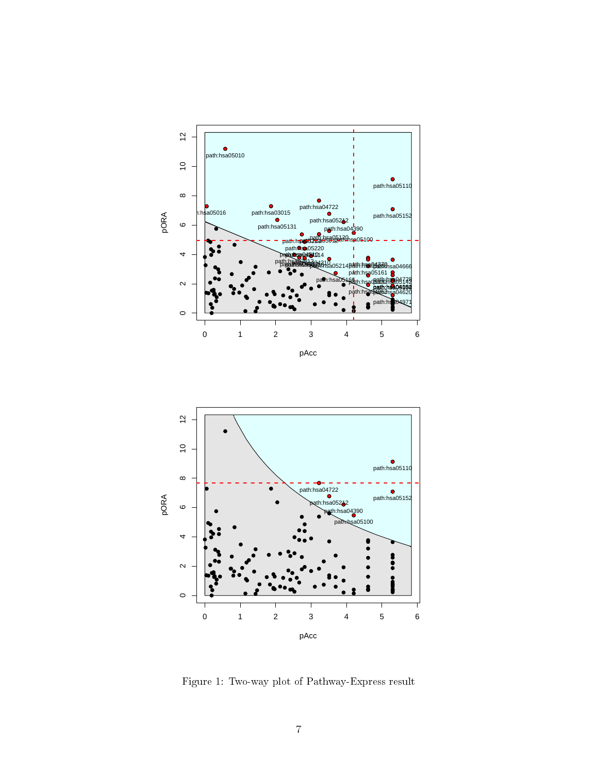



<span id="page-6-0"></span>Figure 1: Two-way plot of Pathway-Express result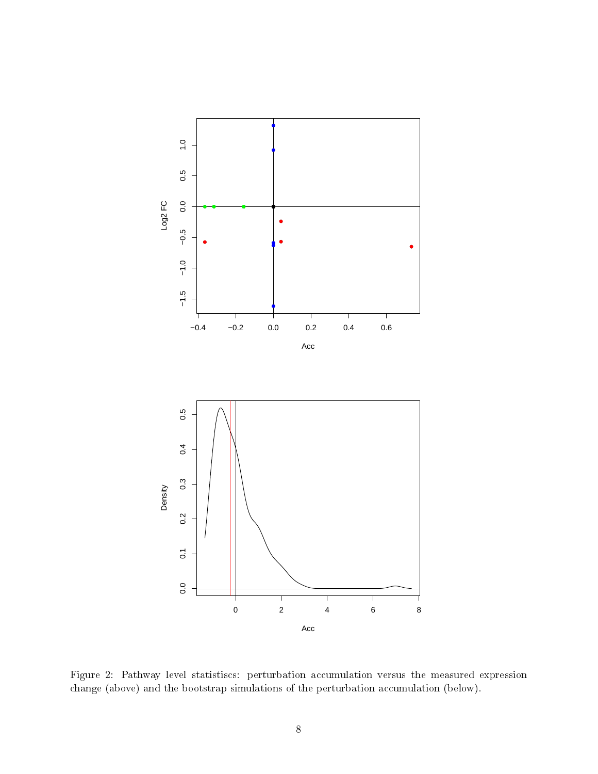

<span id="page-7-0"></span>Figure 2: Pathway level statistiscs: perturbation accumulation versus the measured expression change (above) and the bootstrap simulations of the perturbation accumulation (below).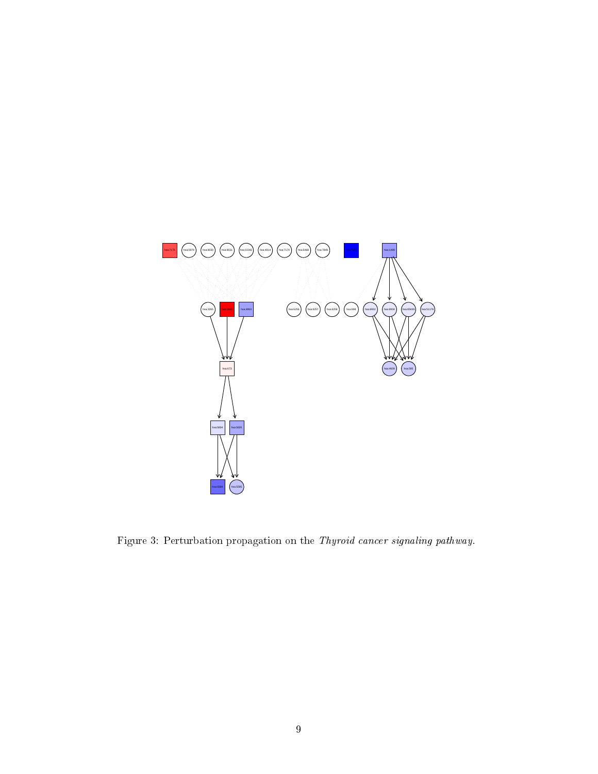

<span id="page-8-0"></span>Figure 3: Perturbation propagation on the Thyroid cancer signaling pathway.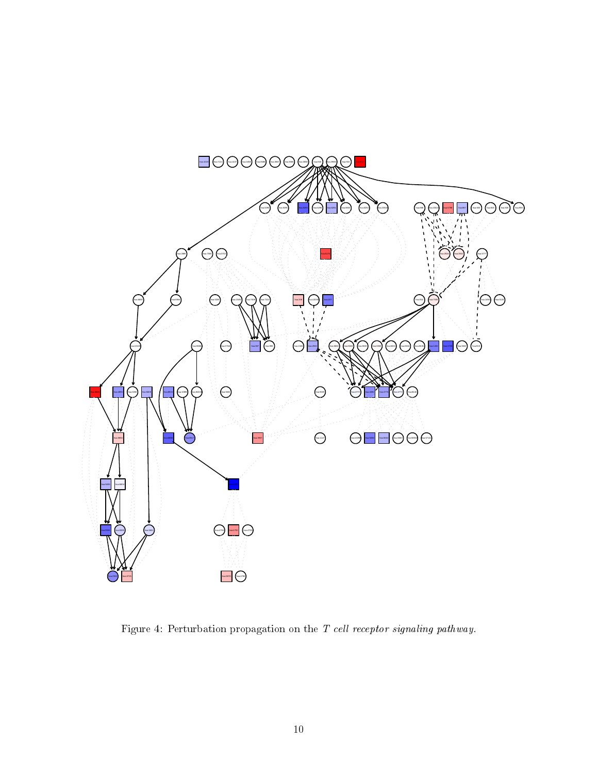

<span id="page-9-0"></span>Figure 4: Perturbation propagation on the T cell receptor signaling pathway.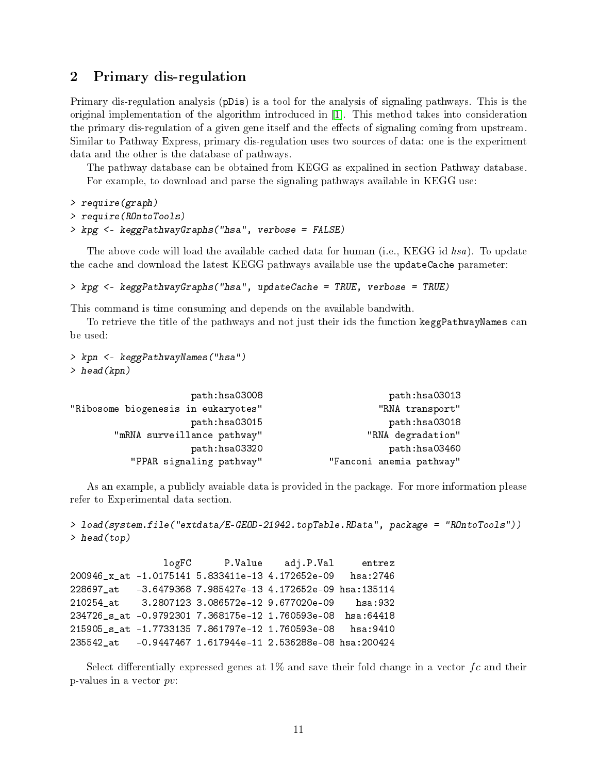# 2 Primary dis-regulation

Primary dis-regulation analysis (pDis) is a tool for the analysis of signaling pathways. This is the original implementation of the algorithm introduced in [\[1\]](#page-12-6). This method takes into consideration the primary dis-regulation of a given gene itself and the effects of signaling coming from upstream. Similar to Pathway Express, primary dis-regulation uses two sources of data: one is the experiment data and the other is the database of pathways.

The pathway database can be obtained from KEGG as expalined in section Pathway database. For example, to download and parse the signaling pathways available in KEGG use:

```
> require(graph)
> require(ROntoTools)
> kpg <- keggPathwayGraphs("hsa", verbose = FALSE)
```
The above code will load the available cached data for human (i.e., KEGG id hsa). To update the cache and download the latest KEGG pathways available use the updateCache parameter:

```
> kpg <- keggPathwayGraphs("hsa", updateCache = TRUE, verbose = TRUE)
```
This command is time consuming and depends on the available bandwith.

To retrieve the title of the pathways and not just their ids the function keggPathwayNames can be used:

```
> kpn <- keggPathwayNames("hsa")
> head(kpn)
```

```
path:hsa03008 path:hsa03013
"Ribosome biogenesis in eukaryotes" " "RNA transport"
               path:hsa03015 path:hsa03018
     "mRNA surveillance pathway" The "RNA degradation"
               path:hsa03320 path:hsa03460
       "PPAR signaling pathway" "Fanconi anemia pathway"
```
As an example, a publicly avaiable data is provided in the package. For more information please refer to Experimental data section.

```
> load(system.file("extdata/E-GEOD-21942.topTable.RData", package = "ROntoTools"))
> head(top)
```
logFC P.Value adj.P.Val entrez 200946\_x\_at -1.0175141 5.833411e-13 4.172652e-09 hsa:2746 228697\_at -3.6479368 7.985427e-13 4.172652e-09 hsa:135114 210254\_at 3.2807123 3.086572e-12 9.677020e-09 hsa:932 234726\_s\_at -0.9792301 7.368175e-12 1.760593e-08 hsa:64418 215905\_s\_at -1.7733135 7.861797e-12 1.760593e-08 hsa:9410 235542\_at -0.9447467 1.617944e-11 2.536288e-08 hsa:200424

Select differentially expressed genes at 1% and save their fold change in a vector  $fc$  and their p-values in a vector pv: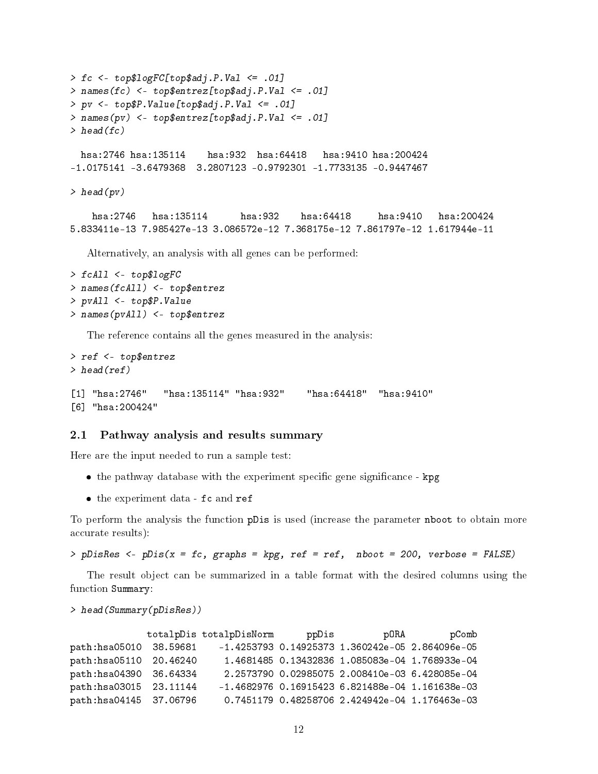```
> fc <- top$logFC[top$adj.P.Val <= .01]
> names(fc) <- top$entrez[top$adj.P.Val <= .01]
> pv <- top$P.Value[top$adj.P.Val <= .01]
> names(pv) <- top$entrez[top$adj.P.Val <= .01]
> head(fc)
 hsa:2746 hsa:135114 hsa:932 hsa:64418 hsa:9410 hsa:200424
-1.0175141 -3.6479368 3.2807123 -0.9792301 -1.7733135 -0.9447467
> head(pv)
   hsa:2746 hsa:135114 hsa:932 hsa:64418 hsa:9410 hsa:200424
5.833411e-13 7.985427e-13 3.086572e-12 7.368175e-12 7.861797e-12 1.617944e-11
  Alternatively, an analysis with all genes can be performed:
> fcAll <- top$logFC
> names(fcAll) <- top$entrez
> pvAll <- top$P.Value
```

```
> names(pvAll) <- top$entrez
```
The reference contains all the genes measured in the analysis:

```
> ref <- top$entrez
> head(ref)
[1] "hsa:2746" "hsa:135114" "hsa:932" "hsa:64418" "hsa:9410"
[6] "hsa:200424"
```
#### 2.1 Pathway analysis and results summary

Here are the input needed to run a sample test:

- the pathway database with the experiment specific gene significance kpg
- the experiment data fc and ref

To perform the analysis the function pDis is used (increase the parameter nboot to obtain more accurate results):

> pDisRes <- pDis(x = fc, graphs = kpg, ref = ref, nboot = 200, verbose = FALSE)

The result object can be summarized in a table format with the desired columns using the function Summary:

```
> head(Summary(pDisRes))
```

|                         | totalpDis totalpDisNorm | ppDis | pORA                                            | pComb |
|-------------------------|-------------------------|-------|-------------------------------------------------|-------|
| path:hsa05010 38.59681  |                         |       | -1.4253793 0.14925373 1.360242e-05 2.864096e-05 |       |
| path:hsa05110 20.46240  |                         |       | 1.4681485 0.13432836 1.085083e-04 1.768933e-04  |       |
| path:hsa04390 36.64334  |                         |       | 2.2573790 0.02985075 2.008410e-03 6.428085e-04  |       |
| path: hsa03015 23.11144 |                         |       | -1.4682976 0.16915423 6.821488e-04 1.161638e-03 |       |
| path:hsa04145 37.06796  |                         |       | 0.7451179 0.48258706 2.424942e-04 1.176463e-03  |       |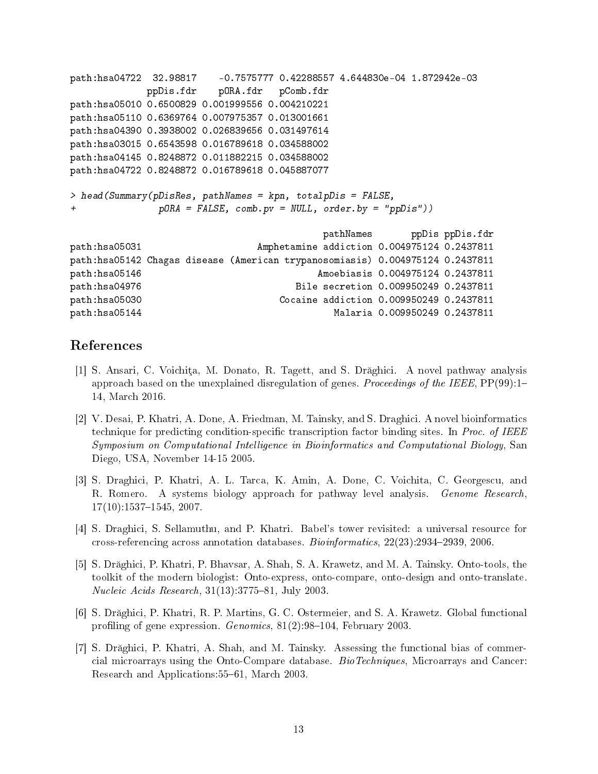```
path:hsa04722 32.98817 -0.7575777 0.42288557 4.644830e-04 1.872942e-03
           ppDis.fdr pORA.fdr pComb.fdr
path:hsa05010 0.6500829 0.001999556 0.004210221
path:hsa05110 0.6369764 0.007975357 0.013001661
path:hsa04390 0.3938002 0.026839656 0.031497614
path:hsa03015 0.6543598 0.016789618 0.034588002
path:hsa04145 0.8248872 0.011882215 0.034588002
path:hsa04722 0.8248872 0.016789618 0.045887077
> head(Summary(pDisRes, pathNames = kpn, totalpDis = FALSE,
+ pORA = FALSE, comb.pv = NULL, order.by = "ppDis"))
                                       pathNames ppDis ppDis.fdr
path:hsa05031 Amphetamine addiction 0.004975124 0.2437811
path:hsa05142 Chagas disease (American trypanosomiasis) 0.004975124 0.2437811
path:hsa05146 Amoebiasis 0.004975124 0.2437811
path:hsa04976 Bile secretion 0.009950249 0.2437811
path:hsa05030 Cocaine addiction 0.009950249 0.2437811
path:hsa05144 Malaria 0.009950249 0.2437811
```
# References

- <span id="page-12-6"></span>[1] S. Ansari, C. Voichita, M. Donato, R. Tagett, and S. Drăghici. A novel pathway analysis approach based on the unexplained disregulation of genes. Proceedings of the IEEE,  $PP(99)$ :1– 14, March 2016.
- <span id="page-12-4"></span>[2] V. Desai, P. Khatri, A. Done, A. Friedman, M. Tainsky, and S. Draghici. A novel bioinformatics technique for predicting condition-specific transcription factor binding sites. In Proc. of IEEE Symposium on Computational Intelligence in Bioinformatics and Computational Biology, San Diego, USA, November 14-15 2005.
- <span id="page-12-5"></span>[3] S. Draghici, P. Khatri, A. L. Tarca, K. Amin, A. Done, C. Voichita, C. Georgescu, and R. Romero. A systems biology approach for pathway level analysis. Genome Research,  $17(10):1537-1545, 2007.$
- <span id="page-12-3"></span>[4] S. Draghici, S. Sellamuthu, and P. Khatri. Babel's tower revisited: a universal resource for cross-referencing across annotation databases. Bioinformatics, 22(23):2934-2939, 2006.
- <span id="page-12-1"></span>[5] S. Drăghici, P. Khatri, P. Bhavsar, A. Shah, S. A. Krawetz, and M. A. Tainsky. Onto-tools, the toolkit of the modern biologist: Onto-express, onto-compare, onto-design and onto-translate. Nucleic Acids Research,  $31(13):3775-81$ , July 2003.
- <span id="page-12-0"></span>[6] S. Drăghici, P. Khatri, R. P. Martins, G. C. Ostermeier, and S. A. Krawetz. Global functional profiling of gene expression.  $Genomics$ ,  $81(2):98-104$ , February 2003.
- <span id="page-12-2"></span>[7] S. Drăghici, P. Khatri, A. Shah, and M. Tainsky. Assessing the functional bias of commercial microarrays using the Onto-Compare database. BioTechniques, Microarrays and Cancer: Research and Applications: 55–61, March 2003.